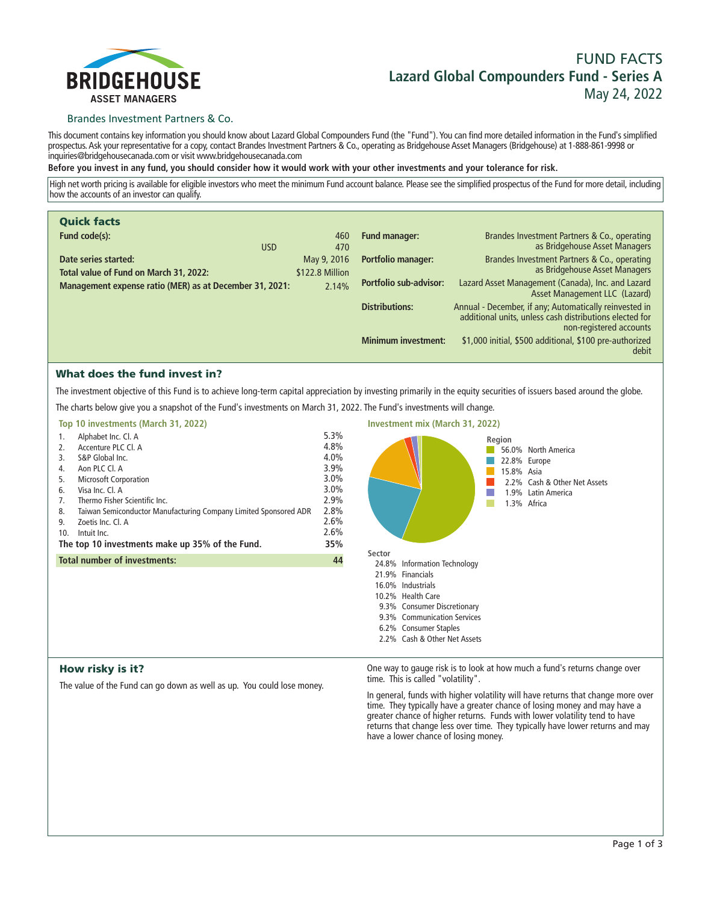

# **FUND FACTS Lazard Global Compounders Fund - Series A May 24, 2022**

### Brandes Investment Partners & Co.

**This document contains key information you should know about Lazard Global Compounders Fund (the "Fund"). You can find more detailed information in the Fund's simplified prospectus. Ask your representative for a copy, contact Brandes Investment Partners & Co., operating as Bridgehouse Asset Managers (Bridgehouse) at 1-888-861-9998 or inquiries@bridgehousecanada.com or visit www.bridgehousecanada.com**

**Before you invest in any fund, you should consider how it would work with your other investments and your tolerance for risk.**

**High net worth pricing is available for eligible investors who meet the minimum Fund account balance. Please see the simplified prospectus of the Fund for more detail, including how the accounts of an investor can qualify.**

| <b>Quick facts</b>                                             |                                |                               |                                                                                                                                              |
|----------------------------------------------------------------|--------------------------------|-------------------------------|----------------------------------------------------------------------------------------------------------------------------------------------|
| Fund code(s):<br><b>USD</b>                                    | 460<br>470                     | <b>Fund manager:</b>          | Brandes Investment Partners & Co., operating<br>as Bridgehouse Asset Managers                                                                |
| Date series started:<br>Total value of Fund on March 31, 2022: | May 9, 2016<br>\$122.8 Million | <b>Portfolio manager:</b>     | Brandes Investment Partners & Co., operating<br>as Bridgehouse Asset Managers                                                                |
| Management expense ratio (MER) as at December 31, 2021:        | 2.14%                          | <b>Portfolio sub-advisor:</b> | Lazard Asset Management (Canada), Inc. and Lazard<br>Asset Management LLC (Lazard)                                                           |
|                                                                |                                | <b>Distributions:</b>         | Annual - December, if any; Automatically reinvested in<br>additional units, unless cash distributions elected for<br>non-registered accounts |
|                                                                |                                | <b>Minimum investment:</b>    | \$1,000 initial, \$500 additional, \$100 pre-authorized<br>debit                                                                             |

# What does the fund invest in?

**The investment objective of this Fund is to achieve long-term capital appreciation by investing primarily in the equity securities of issuers based around the globe.**

**The charts below give you a snapshot of the Fund's investments on March 31, 2022. The Fund's investments will change.**

|     | Top 10 investments (March 31, 2022)                              |      |
|-----|------------------------------------------------------------------|------|
| 1.  | Alphabet Inc. Cl. A                                              | 5.3% |
| 2.  | Accenture PLC Cl. A                                              | 4.8% |
| 3.  | S&P Global Inc.                                                  | 4.0% |
| 4.  | Aon PLC Cl. A                                                    | 3.9% |
| 5.  | <b>Microsoft Corporation</b>                                     | 3.0% |
| 6.  | Visa Inc. Cl. A                                                  | 3.0% |
| 7.  | Thermo Fisher Scientific Inc.                                    | 2.9% |
| 8.  | Taiwan Semiconductor Manufacturing Company Limited Sponsored ADR | 2.8% |
| 9.  | Zoetis Inc. Cl. A                                                | 2.6% |
| 10. | Intuit Inc.                                                      | 2.6% |
|     | The top 10 investments make up 35% of the Fund.                  | 35%  |
|     | <b>Total number of investments:</b>                              | 44   |
|     |                                                                  |      |
|     |                                                                  |      |



# How risky is it?

**The value of the Fund can go down as well as up. You could lose money.**

**One way to gauge risk is to look at how much a fund's returns change over time. This is called "volatility".**

**In general, funds with higher volatility will have returns that change more over time. They typically have a greater chance of losing money and may have a greater chance of higher returns. Funds with lower volatility tend to have**  returns that change less over time. They typically have lower returns and may **have a lower chance of losing money.**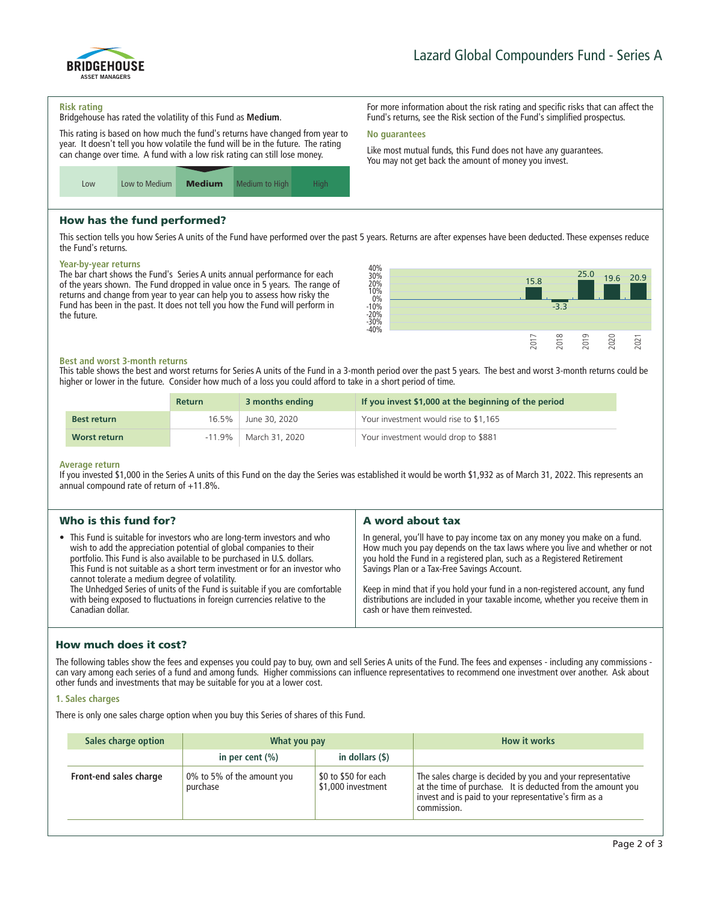

**For more information about the risk rating and specific risks that can affect the Fund's returns, see the Risk section of the Fund's simplified prospectus.**

**Like most mutual funds, this Fund does not have any guarantees. You may not get back the amount of money you invest.**

#### **Risk rating**

**Bridgehouse has rated the volatility of this Fund as Medium.**

**This rating is based on how much the fund's returns have changed from year to year. It doesn't tell you how volatile the fund will be in the future. The rating can change over time. A fund with a low risk rating can still lose money.**



# How has the fund performed?

**This section tells you how Series A units of the Fund have performed over the past 5 years. Returns are after expenses have been deducted. These expenses reduce the Fund's returns.**

**No guarantees**

#### **Year-by-year returns**

**The bar chart shows the Fund's Series A units annual performance for each of the years shown. The Fund dropped in value once in 5 years. The range of returns and change from year to year can help you to assess how risky the Fund has been in the past. It does not tell you how the Fund will perform in the future.**



### **Best and worst 3-month returns**

**This table shows the best and worst returns for Series A units of the Fund in a 3-month period over the past 5 years. The best and worst 3-month returns could be higher or lower in the future. Consider how much of a loss you could afford to take in a short period of time.**

|                    | <b>Return</b> | 3 months ending | If you invest \$1,000 at the beginning of the period |
|--------------------|---------------|-----------------|------------------------------------------------------|
| <b>Best return</b> | 16.5%         | June 30, 2020   | Your investment would rise to \$1,165                |
| Worst return       | $-11.9\%$     | March 31, 2020  | Your investment would drop to \$881                  |

#### **Average return**

**If you invested \$1,000 in the Series A units of this Fund on the day the Series was established it would be worth \$1,932 as of March 31, 2022. This represents an annual compound rate of return of +11.8%.**

|                                                                                                                                                                                                                                                                                                                                                                                                                                                                                                                                                                                                                                                                                                                                                                                      | Who is this fund for? | A word about tax                                                                                                                                                                                                                              |
|--------------------------------------------------------------------------------------------------------------------------------------------------------------------------------------------------------------------------------------------------------------------------------------------------------------------------------------------------------------------------------------------------------------------------------------------------------------------------------------------------------------------------------------------------------------------------------------------------------------------------------------------------------------------------------------------------------------------------------------------------------------------------------------|-----------------------|-----------------------------------------------------------------------------------------------------------------------------------------------------------------------------------------------------------------------------------------------|
| • This Fund is suitable for investors who are long-term investors and who<br>In general, you'll have to pay income tax on any money you make on a fund.<br>wish to add the appreciation potential of global companies to their<br>you hold the Fund in a registered plan, such as a Registered Retirement<br>portfolio. This Fund is also available to be purchased in U.S. dollars.<br>This Fund is not suitable as a short term investment or for an investor who<br>Savings Plan or a Tax-Free Savings Account.<br>cannot tolerate a medium degree of volatility.<br>The Unhedged Series of units of the Fund is suitable if you are comfortable<br>with being exposed to fluctuations in foreign currencies relative to the<br>cash or have them reinvested.<br>Canadian dollar. |                       | How much you pay depends on the tax laws where you live and whether or not<br>Keep in mind that if you hold your fund in a non-registered account, any fund<br>distributions are included in your taxable income, whether you receive them in |

# How much does it cost?

**The following tables show the fees and expenses you could pay to buy, own and sell Series A units of the Fund. The fees and expenses - including any commissions can vary among each series of a fund and among funds. Higher commissions can influence representatives to recommend one investment over another. Ask about other funds and investments that may be suitable for you at a lower cost.**

### **1. Sales charges**

**There is only one sales charge option when you buy this Series of shares of this Fund.**

| Sales charge option    | What you pay                           |                                            | <b>How it works</b>                                                                                                                                                                               |
|------------------------|----------------------------------------|--------------------------------------------|---------------------------------------------------------------------------------------------------------------------------------------------------------------------------------------------------|
|                        | in per cent $(\% )$                    | in dollars $($ \$ $)$                      |                                                                                                                                                                                                   |
| Front-end sales charge | 0% to 5% of the amount you<br>purchase | \$0 to \$50 for each<br>\$1,000 investment | The sales charge is decided by you and your representative<br>at the time of purchase. It is deducted from the amount you<br>invest and is paid to your representative's firm as a<br>commission. |